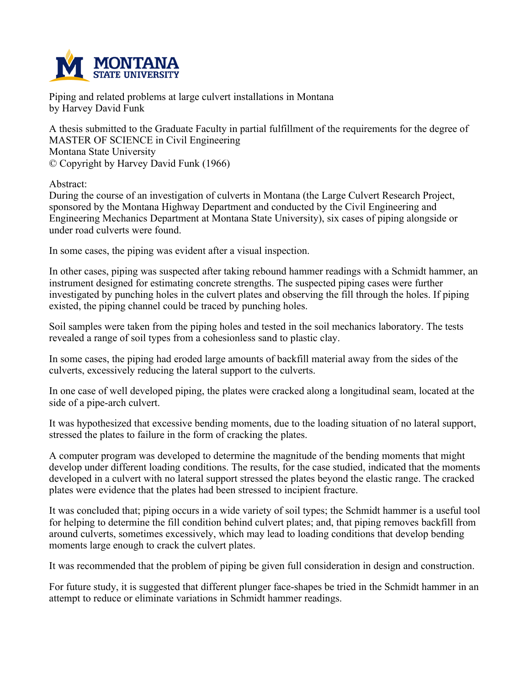

**Piping and related problems at large culvert installations in Montana by Harvey David Funk**

**A thesis submitted to the Graduate Faculty in partial fulfillment of the requirements for the degree of MASTER OF SCIENCE in Civil Engineering Montana State University © Copyright by Harvey David Funk (1966)**

**Abstract:**

**During the course of an investigation of culverts in Montana (the Large Culvert Research Project, sponsored by the Montana Highway Department and conducted by the Civil Engineering and Engineering Mechanics Department at Montana State University), six cases of piping alongside or under road culverts were found.**

**In some cases, the piping was evident after a visual inspection.**

**In other cases, piping was suspected after taking rebound hammer readings with a Schmidt hammer, an instrument designed for estimating concrete strengths. The suspected piping cases were further investigated by punching holes in the culvert plates and observing the fill through the holes. If piping existed, the piping channel could be traced by punching holes.**

**Soil samples were taken from the piping holes and tested in the soil mechanics laboratory. The tests revealed a range of soil types from a cohesionless sand to plastic clay.**

**In some cases, the piping had eroded large amounts of backfill material away from the sides of the culverts, excessively reducing the lateral support to the culverts.**

In one case of well developed piping, the plates were cracked along a longitudinal seam, located at the **side of a pipe-arch culvert.**

**It was hypothesized that excessive bending moments, due to the loading situation of no lateral support, stressed the plates to failure in the form of cracking the plates.**

**A computer program was developed to determine the magnitude of the bending moments that might develop under different loading conditions. The results, for the case studied, indicated that the moments developed in a culvert with no lateral support stressed the plates beyond the elastic range. The cracked plates were evidence that the plates had been stressed to incipient fracture.**

It was concluded that; piping occurs in a wide variety of soil types; the Schmidt hammer is a useful tool **for helping to determine the fill condition behind culvert plates; and, that piping removes backfill from around culverts, sometimes excessively, which may lead to loading conditions that develop bending moments large enough to crack the culvert plates.**

**It was recommended that the problem of piping be given full consideration in design and construction.**

For future study, it is suggested that different plunger face-shapes be tried in the Schmidt hammer in an **attempt to reduce or eliminate variations in Schmidt hammer readings.**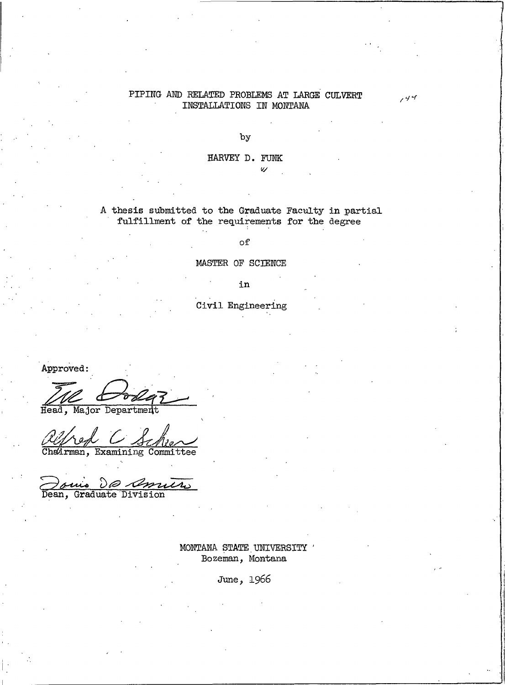## PIPING AND RELATED PROBLEMS AT LARGE CULVERT INSTALLATIONS IN MONTANA

 $,44$ 

by

# HARVEY D. FUNK

 $\boldsymbol{\nu}$ 

A thesis submitted to the Graduate Faculty in partial fulfillment of the requirements for the degree

of

#### MASTER OF SCIENCE

in

Civil Engineering

Approved:

Head, Major Department

Chairman, Examining Committee

D*@ Dm* mis Dean, Graduate Division

MONTANA STATE UNIVERSITY Bozeman, Montana

June, 1966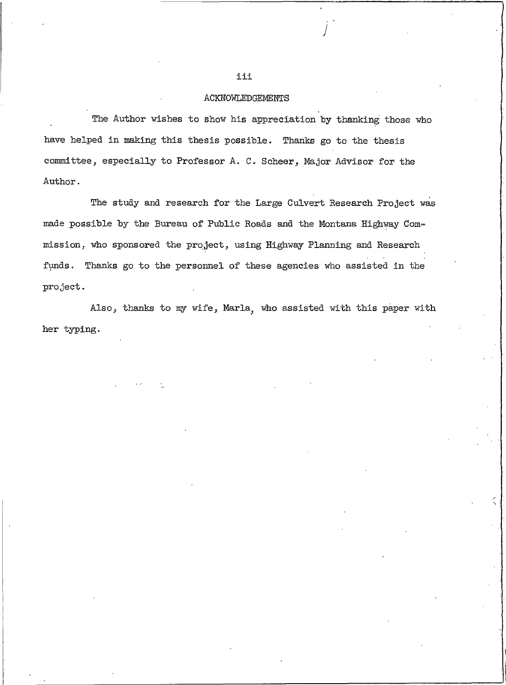## **ACKNOWLEDGEMENTS**

The Author wishes to show his appreciation by thanking those who have helped in making this thesis possible. Thanks go to the thesis committee, especially to Professor A. C. Scheer, Major Advisor for the Author.

The study and research for the Large Culvert Research Project was made possible by the Bureau of Public Roads and the Montana Highway Commission, who sponsored the project, using Highway Planning and Research funds. Thanks go to the personnel of these agencies who assisted in the project.

Also, thanks to my wife, Marla, who assisted with this paper with her typing.

iii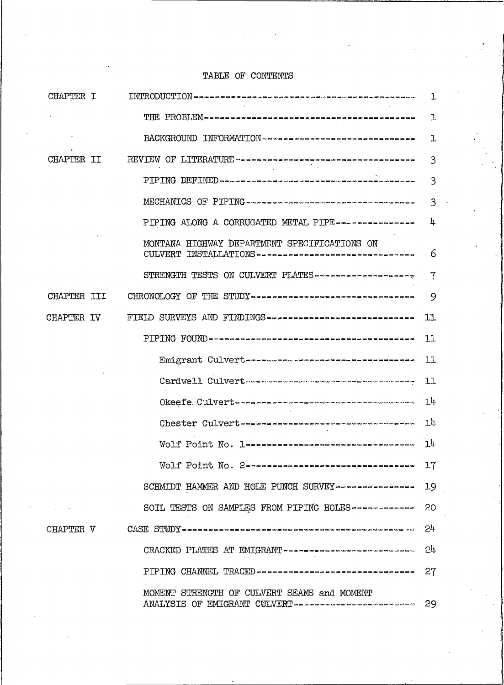# TABLE OF CONTENTS

| CHAPTER I   |                                                                                                                                                                                                                                                                                                                                                                                                                                                                                                                     | ı              |  |
|-------------|---------------------------------------------------------------------------------------------------------------------------------------------------------------------------------------------------------------------------------------------------------------------------------------------------------------------------------------------------------------------------------------------------------------------------------------------------------------------------------------------------------------------|----------------|--|
|             |                                                                                                                                                                                                                                                                                                                                                                                                                                                                                                                     | ı              |  |
|             | BACKGROUND INFORMATION ---------------------------------                                                                                                                                                                                                                                                                                                                                                                                                                                                            | ı              |  |
| CHAPTER II  | REVIEW OF LITERATURE ==================================                                                                                                                                                                                                                                                                                                                                                                                                                                                             | 3              |  |
|             | $\textcolor{red}{\textbf{PIPING}}\ \textcolor{red}{\textbf{DEFINED}}\textcolor{red}{\textbf{S}}\textcolor{red}{\textbf{S}}\textcolor{red}{\textbf{S}}\textcolor{red}{\textbf{S}}\textcolor{red}{\textbf{S}}\textcolor{red}{\textbf{S}}\textcolor{red}{\textbf{S}}\textcolor{red}{\textbf{S}}\textcolor{red}{\textbf{S}}\textcolor{red}{\textbf{S}}\textcolor{red}{\textbf{S}}\textcolor{red}{\textbf{S}}\textcolor{red}{\textbf{S}}\textcolor{red}{\textbf{S}}\textcolor{red}{\textbf{S}}\textcolor{red}{\textbf{S$ | 3              |  |
|             |                                                                                                                                                                                                                                                                                                                                                                                                                                                                                                                     | 3 <sup>1</sup> |  |
|             | PIPING ALONG A CORRUGATED METAL PIPE ---------------                                                                                                                                                                                                                                                                                                                                                                                                                                                                | 4              |  |
|             | MONTANA HIGHWAY DEPARTMENT SPECIFICATIONS ON<br>CULVERT INSTALLATIONS -------------------------------                                                                                                                                                                                                                                                                                                                                                                                                               | 6              |  |
|             | STRENGTH TESTS ON CULVERT PLATES ------------------                                                                                                                                                                                                                                                                                                                                                                                                                                                                 |                |  |
| CHAPTER III | CHRONOLOGY OF THE STUDY ---------------------------------                                                                                                                                                                                                                                                                                                                                                                                                                                                           | 9              |  |
| CHAPTER IV  | FIELD SURVEYS AND FINDINGS -------------------------------                                                                                                                                                                                                                                                                                                                                                                                                                                                          | $11\,$         |  |
|             |                                                                                                                                                                                                                                                                                                                                                                                                                                                                                                                     | 11             |  |
|             |                                                                                                                                                                                                                                                                                                                                                                                                                                                                                                                     |                |  |
|             |                                                                                                                                                                                                                                                                                                                                                                                                                                                                                                                     |                |  |
|             |                                                                                                                                                                                                                                                                                                                                                                                                                                                                                                                     | -14            |  |
|             |                                                                                                                                                                                                                                                                                                                                                                                                                                                                                                                     | -14            |  |
|             |                                                                                                                                                                                                                                                                                                                                                                                                                                                                                                                     | -14            |  |
|             |                                                                                                                                                                                                                                                                                                                                                                                                                                                                                                                     | 17             |  |
|             | SCHMIDT HAMMER AND HOLE PUNCH SURVEY ---------------                                                                                                                                                                                                                                                                                                                                                                                                                                                                | 19             |  |
|             | SOIL TESTS ON SAMPLES FROM PIPING HOLES -----------                                                                                                                                                                                                                                                                                                                                                                                                                                                                 | 20             |  |
| CHAPTER V   |                                                                                                                                                                                                                                                                                                                                                                                                                                                                                                                     | 24             |  |
|             | CRACKED PLATES AT EMIGRANT --------------------------                                                                                                                                                                                                                                                                                                                                                                                                                                                               | 24             |  |
|             | PIPING CHANNEL TRACED ----------------------------------                                                                                                                                                                                                                                                                                                                                                                                                                                                            | 27             |  |
|             | MOMENT STRENGTH OF CULVERT SEAMS and MOMENT<br>ANALYSIS OF EMIGRANT CULVERT ------------------------                                                                                                                                                                                                                                                                                                                                                                                                                | 29             |  |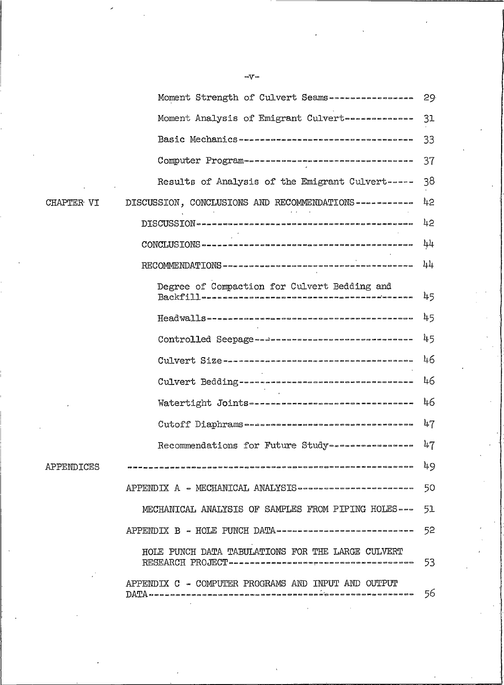|            | Moment Strength of Culvert Seams ----------------                                                                                                                                                                                                                                                                                                          | 29  |
|------------|------------------------------------------------------------------------------------------------------------------------------------------------------------------------------------------------------------------------------------------------------------------------------------------------------------------------------------------------------------|-----|
|            | Moment Analysis of Emigrant Culvert------------                                                                                                                                                                                                                                                                                                            | 31  |
|            |                                                                                                                                                                                                                                                                                                                                                            | 33  |
|            | Computer Program ---------------------------------                                                                                                                                                                                                                                                                                                         | 37  |
|            | Results of Analysis of the Emigrant Culvert-----                                                                                                                                                                                                                                                                                                           | 38  |
| CHAPTER VI | DISCUSSION, CONCLUSIONS AND RECOMMENDATIONS -----------                                                                                                                                                                                                                                                                                                    | 42  |
|            |                                                                                                                                                                                                                                                                                                                                                            | 42  |
|            |                                                                                                                                                                                                                                                                                                                                                            | 44  |
|            |                                                                                                                                                                                                                                                                                                                                                            | 44  |
|            | Degree of Compaction for Culvert Bedding and                                                                                                                                                                                                                                                                                                               | 45  |
|            |                                                                                                                                                                                                                                                                                                                                                            | 45  |
|            | Controlled Seepage --------------------------------                                                                                                                                                                                                                                                                                                        | 45  |
|            | $\text{Culer}$ $\text{Circ}$ $\text{Circ}$ $\text{Circ}$ $\text{Circ}$ $\text{Circ}$ $\text{Circ}$ $\text{Circ}$ $\text{Circ}$ $\text{Circ}$ $\text{Circ}$ $\text{Circ}$ $\text{Circ}$ $\text{Circ}$ $\text{Circ}$ $\text{Circ}$ $\text{Circ}$ $\text{Circ}$ $\text{Circ}$ $\text{Circ}$ $\text{Circ}$ $\text{Circ}$ $\text{Circ}$ $\text{Circ}$ $\text{C$ | 46  |
|            |                                                                                                                                                                                                                                                                                                                                                            | 46  |
|            | Watertight Joints ---------------------------------                                                                                                                                                                                                                                                                                                        | 46  |
|            |                                                                                                                                                                                                                                                                                                                                                            | 47  |
|            | Recommendations for Future Study ---------------                                                                                                                                                                                                                                                                                                           | 47  |
| APPENDICES |                                                                                                                                                                                                                                                                                                                                                            | 49  |
|            | APPENDIX A - MECHANICAL ANALYSIS ------------------------                                                                                                                                                                                                                                                                                                  | 50  |
|            | MECHANICAL ANALYSIS OF SAMPLES FROM PIPING HOLES---                                                                                                                                                                                                                                                                                                        | 51  |
|            | APPENDIX B - HOLE PUNCH DATA-----------------------------                                                                                                                                                                                                                                                                                                  | 52  |
|            | HOLE PUNCH DATA TABULATIONS FOR THE LARGE CULVERT                                                                                                                                                                                                                                                                                                          | 53. |
|            | APPENDIX C - COMPUTER PROGRAMS AND INPUT AND OUTPUT                                                                                                                                                                                                                                                                                                        | 56  |

 $\mathbf{v}$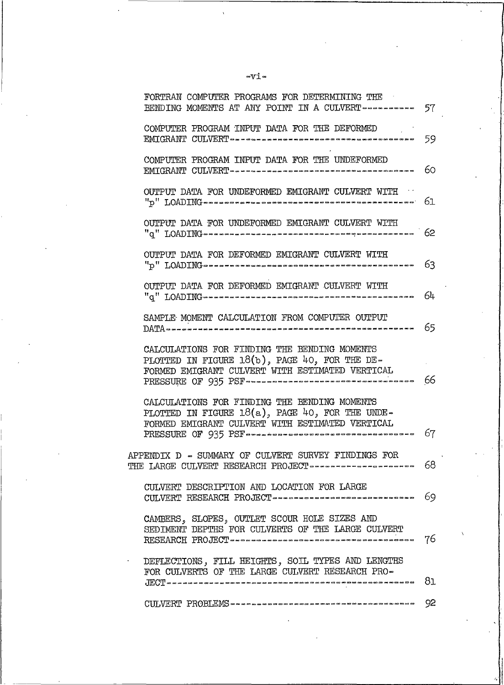| FORTRAN COMPUTER PROGRAMS FOR DETERMINING THE<br>BENDING MOMENTS AT ANY POINT IN A CULVERT----------                                                  | 57 |
|-------------------------------------------------------------------------------------------------------------------------------------------------------|----|
| COMPUTER PROGRAM INPUT DATA FOR THE DEFORMED                                                                                                          | 59 |
| COMPUTER PROGRAM INPUT DATA FOR THE UNDEFORMED                                                                                                        | 60 |
| OUTPUT DATA FOR UNDEFORMED EMIGRANT CULVERT WITH                                                                                                      | 61 |
| OUTPUT DATA FOR UNDEFORMED EMIGRANT CULVERT WITH                                                                                                      | 62 |
| OUTPUT DATA FOR DEFORMED EMIGRANT CULVERT WITH                                                                                                        | 63 |
| OUTPUT DATA FOR DEFORMED EMIGRANT CULVERT WITH                                                                                                        | 64 |
| SAMPLE MOMENT CALCULATION FROM COMPUTER OUTPUT                                                                                                        | 65 |
| CALCULATIONS FOR FINDING THE BENDING MOMENTS<br>PLOTTED IN FIGURE 18(b), PAGE 40, FOR THE DE-<br>FORMED EMIGRANT CULVERT WITH ESTIMATED VERTICAL      | 66 |
| CALCULATIONS FOR FINDING THE BENDING MOMENTS<br>PLOTTED IN FIGURE $18(a)$ , PAGE 40, FOR THE UNDE-<br>FORMED EMIGRANT CULVERT WITH ESTIMATED VERTICAL | 67 |
| APPENDIX D - SUMMARY OF CULVERT SURVEY FINDINGS FOR<br>THE LARGE CULVERT RESEARCH PROJECT-------------------                                          | 68 |
| CULVERT DESCRIPTION AND LOCATION FOR LARGE<br>CULVERT RESEARCH PROJECT ------------------------------                                                 | 69 |
| CAMBERS, SLOPES, OUTLET SCOUR HOLE SIZES AND<br>SEDIMENT DEPTHS FOR CULVERTS OF THE LARGE CULVERT                                                     | 76 |
| DEFLECTIONS, FILL HEIGHTS, SOIL TYPES AND LENGTHS<br>FOR CULVERTS OF THE LARGE CULVERT RESEARCH PRO-                                                  | 81 |
|                                                                                                                                                       | 92 |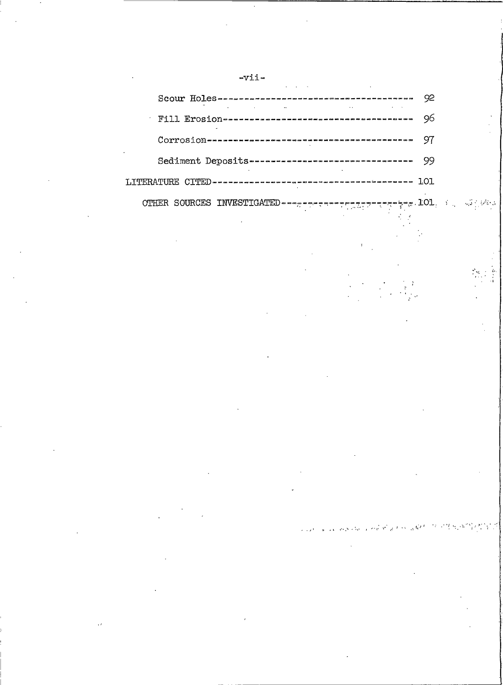| والمنافر والمستحيل والمتواطن والمتعارض والمتعارض والمستحيل والمستحيل والمتعارض والمتعارض والمتعارض |    |  |
|----------------------------------------------------------------------------------------------------|----|--|
| $\text{``Fill: Erosions}$                                                                          | 96 |  |
| $\text{corrOS1}$ . $\text{corr}$                                                                   |    |  |
| Sediment Deposits -------------------------------                                                  |    |  |
|                                                                                                    |    |  |
| HER SOURCES INVESTIGATED----------------------------------                                         |    |  |

 $\label{eq:2} \mathcal{L}_{\text{max}} \propto \left( \mathcal{L}_{\text{max}}^2 \mathcal{L}_{\text{max}} \right)$ 

 $-vii$ -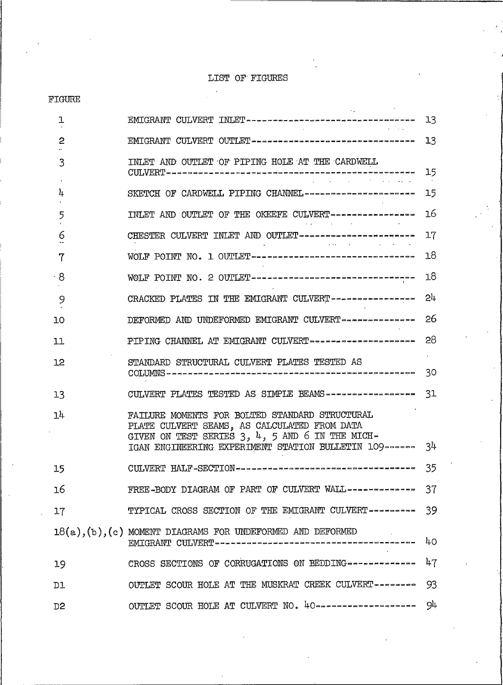## LIST OF FIGURES

| 2              |                                                                                                                                                                                                                                                                                                                                                                                                                                                                                                                                 |      |
|----------------|---------------------------------------------------------------------------------------------------------------------------------------------------------------------------------------------------------------------------------------------------------------------------------------------------------------------------------------------------------------------------------------------------------------------------------------------------------------------------------------------------------------------------------|------|
| 3              | INLET AND OUTLET OF PIPING HOLE AT THE CARDWELL<br>$\text{CULVERT} \texttt{="1} \texttt{#} \texttt{#} \texttt{#} \texttt{#} \texttt{#} \texttt{#} \texttt{#} \texttt{#} \texttt{#} \texttt{#} \texttt{#} \texttt{#} \texttt{#} \texttt{#} \texttt{#} \texttt{#} \texttt{#} \texttt{#} \texttt{#} \texttt{#} \texttt{#} \texttt{#} \texttt{#} \texttt{#} \texttt{#} \texttt{#} \texttt{#} \texttt{#} \texttt{#} \texttt{#} \texttt{#} \texttt{#} \texttt{#} \texttt{#} \$<br>and the contract of the contract of the contract of | -15  |
|                | SKETCH OF CARDWELL PIPING CHANNEL------------------------                                                                                                                                                                                                                                                                                                                                                                                                                                                                       |      |
|                | INLET AND OUTLET OF THE OKEEFE CULVERT----------------<br>search and the control of the con-                                                                                                                                                                                                                                                                                                                                                                                                                                    | - 16 |
| 6              | CHESTER CULVERT INLET AND OUTLET -----------------------<br>and the company of the company of the company of                                                                                                                                                                                                                                                                                                                                                                                                                    | - 17 |
|                | WOLF POINT NO. 1 OUTLET--------------------------------                                                                                                                                                                                                                                                                                                                                                                                                                                                                         | - 18 |
| 8              | WOLF POINT NO. 2 OUTLET--------------------------------                                                                                                                                                                                                                                                                                                                                                                                                                                                                         | -18  |
| 9              | CRACKED PLATES IN THE EMIGRANT CULVERT---------------                                                                                                                                                                                                                                                                                                                                                                                                                                                                           | 24   |
| 10             | DEFORMED AND UNDEFORMED EMIGRANT CULVERT--------------                                                                                                                                                                                                                                                                                                                                                                                                                                                                          | -26  |
| 11             | PIPING CHANNEL AT EMIGRANT CULVERT                                                                                                                                                                                                                                                                                                                                                                                                                                                                                              |      |
| 12             | STANDARD STRUCTURAL CULVERT PLATES TESTED AS                                                                                                                                                                                                                                                                                                                                                                                                                                                                                    | -30  |
| 13             | CULVERT PLATES TESTED AS SIMPLE BEAMS ------------------ 31                                                                                                                                                                                                                                                                                                                                                                                                                                                                     |      |
| 14             | FAILURE MOMENTS FOR BOLTED STANDARD STRUCTURAL<br>PLATE CULVERT SEAMS, AS CALCULATED FROM DATA<br>GIVEN ON TEST SERIES $3, 4, 5$ AND 6 IN THE MICH-<br>IGAN ENGINEERING EXPERIMENT STATION BULLETIN 109 ----- 34                                                                                                                                                                                                                                                                                                                |      |
| 15             |                                                                                                                                                                                                                                                                                                                                                                                                                                                                                                                                 | -35  |
| 16             | FREE-BODY DIAGRAM OF PART OF CULVERT WALL------------- 37                                                                                                                                                                                                                                                                                                                                                                                                                                                                       |      |
| 17             | TYPICAL CROSS SECTION OF THE EMIGRANT CULVERT---------                                                                                                                                                                                                                                                                                                                                                                                                                                                                          |      |
|                | $18(a), (b), (c)$ MOMENT DIAGRAMS FOR UNDEFORMED AND DEFORMED<br>EMIGRANT CULVERT-------------------                                                                                                                                                                                                                                                                                                                                                                                                                            | 40   |
| 19             | CROSS SECTIONS OF CORRUGATIONS ON BEDDING------------                                                                                                                                                                                                                                                                                                                                                                                                                                                                           | 47   |
| D1             | OUTLET SCOUR HOLE AT THE MUSKRAT CREEK CULVERT-------                                                                                                                                                                                                                                                                                                                                                                                                                                                                           | 93   |
| D <sub>2</sub> | OUTIET SCOUR HOLE AT CULVERT NO. 40-----------------                                                                                                                                                                                                                                                                                                                                                                                                                                                                            | -94  |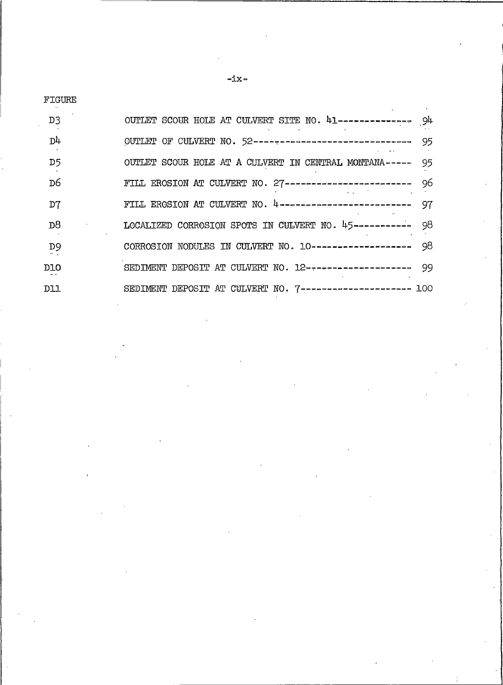$\tt{FIGURE}$ 

| D <sub>3</sub> | OUTLET SCOUR HOLE AT CULVERT SITE NO. 41--------------        | - 94 |
|----------------|---------------------------------------------------------------|------|
| D <sup>1</sup> | OUTLET OF CULVERT NO. 52------------------------------        | 95   |
| D <sub>5</sub> | OUTLET SCOUR HOLE AT A CULVERT IN CENTRAL MONTANA -----       | - 95 |
| D6             | FILL EROSION AT CULVERT NO. 27---------------------------- 96 |      |
| D7             | FILL EROSION AT CULVERT NO. 4-------------------------------  |      |
| D8             | LOCALIZED CORROSION SPOTS IN CULVERT NO. 45-----------        | - 98 |
| D9             | CORROSION NODULES IN CULVERT NO. 10-------------------        | - 98 |
| DIO            | SEDIMENT DEPOSIT AT CULVERT NO. 12------------------- 99      |      |
| DIL            | SEDIMENT DEPOSIT AT CULVERT NO. 7---------------------- 100   |      |

 $-ix-$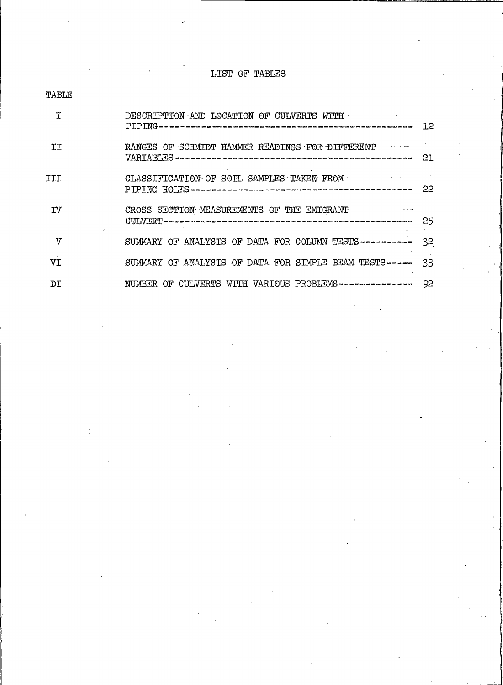# LIST OF TABLES

| ٦<br>c |   |
|--------|---|
|        | H |

|            | DESCRIPTION AND LOCATION OF CULVERTS WITH                                                                                                                                                                                                                                        | 12. |
|------------|----------------------------------------------------------------------------------------------------------------------------------------------------------------------------------------------------------------------------------------------------------------------------------|-----|
| -T.T       | RANGES OF SCHMIDT HAMMER READINGS FOR DIFFERENT Week                                                                                                                                                                                                                             | 21. |
| <b>III</b> | CLASSIFICATION OF SOIL SAMPLES TAKEN FROM<br>$\text{PTPTNG H0LES}$ messussesenssestellen men van de se seen se                                                                                                                                                                   | 22. |
| тv         | CROSS SECTION MEASUREMENTS OF THE EMIGRANT<br>$\text{CUT~WET}$ . A compared to the compact that the compared compared of the compared compared compared compared compared compared compared compared compared compared compared compared compared compared compared compared com | 25  |
| V          | SUMMARY OF ANALYSIS OF DATA FOR COLUMN TESTS----------                                                                                                                                                                                                                           | 32. |
| VТ         | SUMMARY OF ANALYSIS OF DATA FOR SIMPLE BEAM TESTS ----                                                                                                                                                                                                                           | 33  |
| דת         | NUMBER OF CULVERTS WITH VARIOUS PROBLEMS --------------                                                                                                                                                                                                                          | 92  |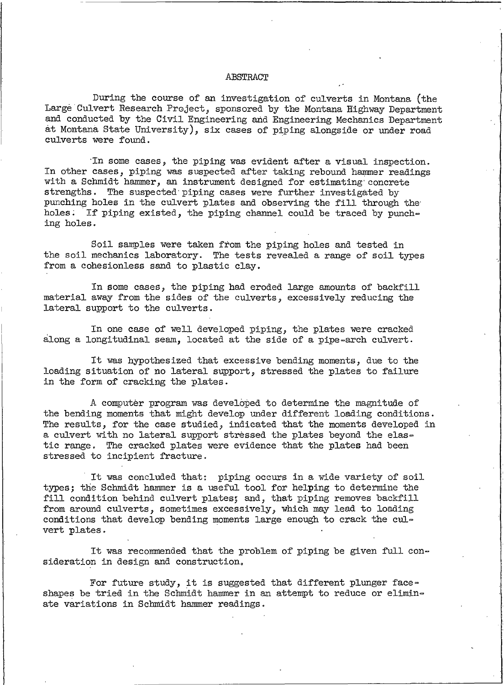## ABSTRACT

During the course of an investigation of culverts in Montana (the Large Culvert Research Project, sponsored by the Montana Highway Department and conducted by the Civil Engineering and Engineering Mechanics Department at Montana State University), six cases of piping alongside or under road culverts were found.

'In some cases, the piping was evident after a visual inspection. In other cases, piping was suspected after taking rebound hammer readings with a Schmidt hammer, an instrument designed for estimating concrete strengths. The suspected piping cases were further investigated by punching holes in the culvert plates and observing the fill through the holes. If piping existed, the piping channel could be traced by punching holes.

Soil samples were taken from the piping holes and tested in the soil mechanics laboratory. The tests revealed a range of soil types from a cohesionless sand to plastic clay.

In some cases, the piping had eroded large amounts of backfill material away from the sides of the culverts, excessively reducing the lateral support to the culverts.

In one case of well developed piping, the plates were cracked along a longitudinal seam, located at the side of a pipe-arch culvert.

It was hypothesized that excessive bending moments, due to the loading situation of no lateral support, stressed the plates to failure in the form of cracking the plates.

A computer program was developed to determine the magnitude of the bending moments that might develop under different loading conditions. The results, for the case studied, indicated that the moments developed in a culvert with no lateral support stressed the plates beyond the elastic range. The cracked plates were evidence that the plates had been stressed to incipient fracture.

It was concluded that: piping occurs in a wide variety of soil types; the Schmidt hammer is a useful tool for helping to determine the fill condition behind culvert plates; and, that piping removes backfill from around culverts, sometimes excessively, which may lead to loading conditions that develop bending moments large enough to crack the culvert plates.

It was recommended that the problem of piping be given full consideration in design and construction.

For future study, it is suggested that different plunger faceshapes be tried in the Schmidt hammer in an attempt to reduce or eliminate variations in Schmidt hammer readings.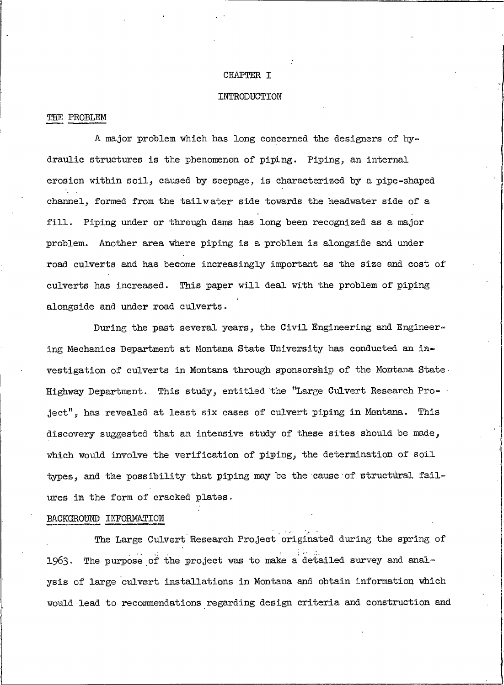#### CHAPTER I

#### INTRODUCTION

#### THE PROBLEM

A major problem which has long concerned the designers of hydraulic structures is the phenomenon of piping. Piping, an internal erosion within soil, caused by seepage, is characterized by a pipe-shaped channel, formed from the tailwater side towards the headwater side of a fill. Piping under or through dams has long been recognized as a major problem. Another area where piping is a problem is alongside and under road culverts and has become increasingly important as the size and cost of culverts has increased. This paper will deal with the problem of piping alongside and under road culverts.

During the past several years, the Civil Engineering and Engineering Mechanics Department at Montana State University has conducted an investigation of culverts in Montana through sponsorship of the Montana State. Highway Department. This study, entitled the "Large Culvert Research Project", has revealed at least six cases of culvert piping in Montana. This discovery suggested that an intensive study of these sites should be made, which would involve the verification of piping, the determination of soil types, and the possibility that piping may be the cause of structural failures in the form of cracked plates.

#### BACKGROUND INFORMATION

The Large Culvert Research Project originated during the spring of The purpose of the project was to make a detailed survey and anal-1963. ysis of large culvert installations in Montana and obtain information which would lead to recommendations regarding design criteria and construction and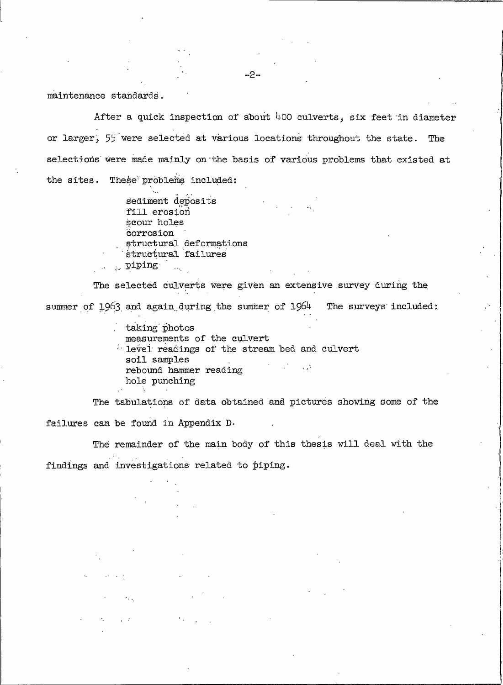maintenance standards.

After a quick inspection of about 400 culverts, six feet in diameter or larger, 55 were selected at various locations throughout the state. The selections were made mainly on the basis of various problems that existed at the sites. These problems included:

> sediment deposits fill erosion scour holes corrosion structural deformations structural failures piping

The selected culverts were given an extensive survey during the summer of 1963 and again during the summer of 1964 The surveys included:

> taking photos measurements of the culvert level readings of the stream bed and culvert soil samples كريد rebound hammer reading hole punching

The tabulations of data obtained and pictures showing some of the failures can be found in Appendix D.

The remainder of the main body of this thesis will deal with the findings and investigations related to piping.

 $-2-$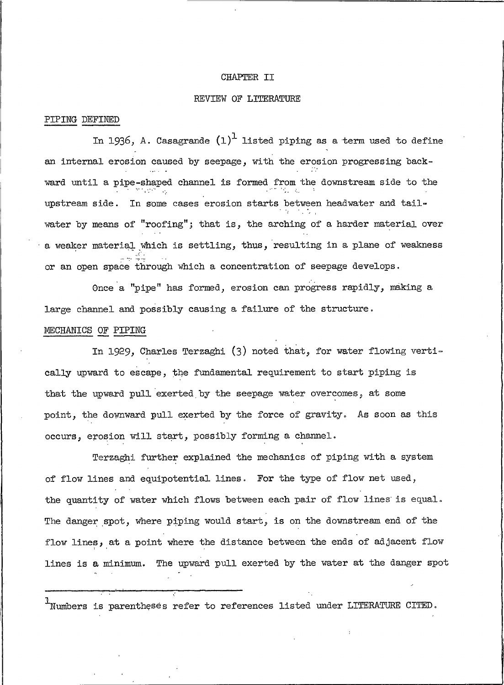#### CHAPTER II

## REVIEW OF LITERATURE

## PIPING DEFINED

In 1936, A. Casagrande  $(1)^{1}$  listed piping as a term used to define an internal erosion caused by seepage, with the erosion progressing backward until a pipe-shaped channel is formed from the downstream side to the upstream side. In some cases erosion starts between headwater and tailwater by means of "roofing"; that is, the arching of a harder material over a weaker material which is settling, thus, resulting in a plane of weakness or an open space through which a concentration of seepage develops.

Once a "pipe" has formed, erosion can progress rapidly, making a large channel and possibly causing a failure of the structure.

## MECHANICS OF PIPING

In 1929, Charles Terzaghi (3) noted that, for water flowing vertically upward to escape, the fundamental requirement to start piping is that the upward pull exerted by the seepage water overcomes, at some point, the downward pull exerted by the force of gravity. As soon as this occurs, erosion will start, possibly forming a channel.

Terzaghi further explained the mechanics of piping with a system of flow lines and equipotential lines. For the type of flow net used, the quantity of water which flows between each pair of flow lines is equal. The danger spot, where piping would start, is on the downstream end of the flow lines, at a point where the distance between the ends of adjacent flow The upward pull exerted by the water at the danger spot lines is a minimum.

 $\rm^1$ Numbers is parentheses refer to references listed under LITERATURE CITED.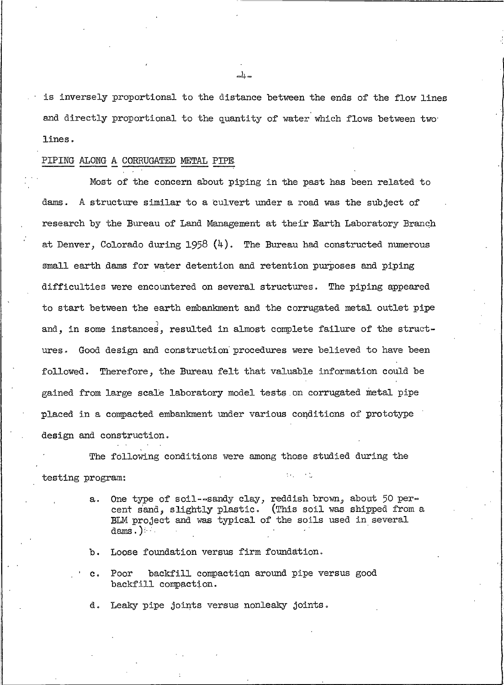is inversely proportional to the distance between the ends of the flow lines and directly proportional to the quantity of water which flows between two lines.

## PIPING ALONG A CORRUGATED METAL PIPE

Most of the concern about piping in the past has been related to A structure similar to a culvert under a road was the subject of dams. research by the Bureau of Land Management at their Earth Laboratory Branch at Denver, Colorado during 1958  $(4)$ . The Bureau had constructed numerous small earth dams for water detention and retention purposes and piping difficulties were encountered on several structures. The piping appeared to start between the earth embankment and the corrugated metal outlet pipe and, in some instances, resulted in almost complete failure of the structures. Good design and construction procedures were believed to have been Therefore, the Bureau felt that valuable information could be followed. gained from large scale laboratory model tests on corrugated metal pipe placed in a compacted embankment under various conditions of prototype design and construction.

The following conditions were among those studied during the testing program:

- One type of soil--sandy clay, reddish brown, about 50 pera. cent sand, slightly plastic. (This soil was shipped from a BLM project and was typical of the soils used in several  ${\tt dams.})$
- Loose foundation versus firm foundation. b.
- backfill compaction around pipe versus good  $c<sub>1</sub>$ Poor backfill compaction.

Leaky pipe joints versus nonleaky joints. d.

ᆈᇤ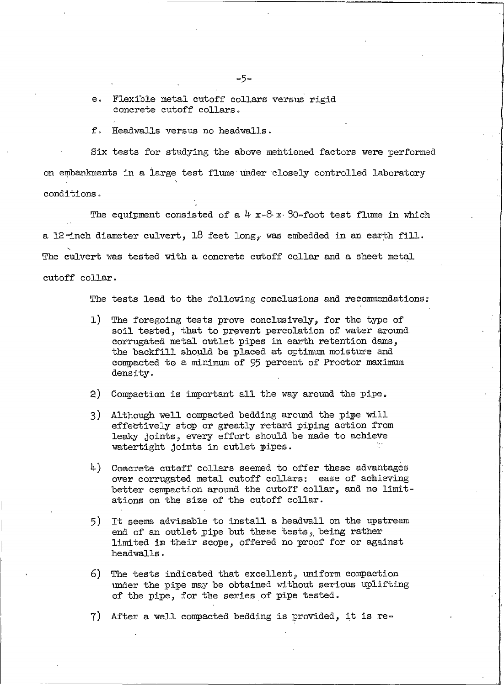e. Flexible metal cutoff collars versus rigid concrete cutoff collars.

f. Headwalls versus no headwalls.

Six tests for studying the above mentioned factors were performed on embankments in a large test flume under closely controlled laboratory conditions.

The equipment consisted of a  $4x-8x-30$ -foot test flume in which a 12 inch diameter culvert, 18 feet long, was embedded in an earth fill. The culvert was tested with a concrete cutoff collar and a sheet metal cutoff collar.

The tests lead to the following conclusions and recommendations:

- 1) The foregoing tests prove conclusively, for the type of soil tested, that to prevent percolation of water around corrugated metal outlet pipes in earth retention dams, the backfill should be placed at optimum moisture and compacted to a minimum of 95 percent of Proctor maximum density.
- $2)$ Compaction is important all the way around the pipe.
- 3) Although well compacted bedding around the pipe will effectively stop or greatly retard piping action from leaky joints, every effort should be made to achieve watertight joints in outlet pipes.
- $4)$ Concrete cutoff collars seemed to offer these advantages over corrugated metal cutoff collars: ease of achieving better compaction around the cutoff collar, and no limitations on the size of the cutoff collar.
- It seems advisable to install a headwall on the upstream 5). end of an outlet pipe but these tests, being rather limited in their scope, offered no proof for or against headwalls.
- 6) The tests indicated that excellent, uniform compaction under the pipe may be obtained without serious uplifting of the pipe, for the series of pipe tested.

7) After a well compacted bedding is provided, it is re-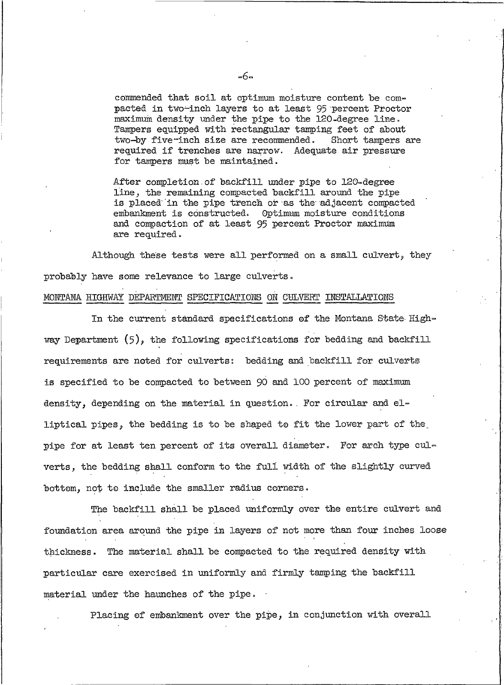commended that soil at optimum moisture content be compacted in two-inch layers to at least 95 percent Proctor maximum density under the pipe to the 120-degree line. Tampers equipped with rectangular tamping feet of about two-by five-inch size are recommended. Short tampers are required if trenches are narrow. Adequate air pressure for tampers must be maintained.

After completion of backfill under pipe to 120-degree line, the remaining compacted backfill around the pipe is placed in the pipe trench or as the adjacent compacted embankment is constructed. Optimum moisture conditions and compaction of at least 95 percent Proctor maximum are required.

Although these tests were all performed on a small culvert, they probably have some relevance to large culverts.

## MONTANA HIGHWAY DEPARTMENT SPECIFICATIONS ON CULVERT INSTALLATIONS

In the current standard specifications of the Montana State Highway Department  $(5)$ , the following specifications for bedding and backfill requirements are noted for culverts: bedding and backfill for culverts is specified to be compacted to between 90 and 100 percent of maximum density, depending on the material in question. For circular and elliptical pipes, the bedding is to be shaped to fit the lower part of the pipe for at least ten percent of its overall diameter. For arch type culverts, the bedding shall conform to the full width of the slightly curved bottom, not to include the smaller radius corners.

The backfill shall be placed uniformly over the entire culvert and foundation area around the pipe in layers of not more than four inches loose The material shall be compacted to the required density with thickness. particular care exercised in uniformly and firmly tamping the backfill material under the haunches of the pipe.

Placing of embankment over the pipe, in conjunction with overall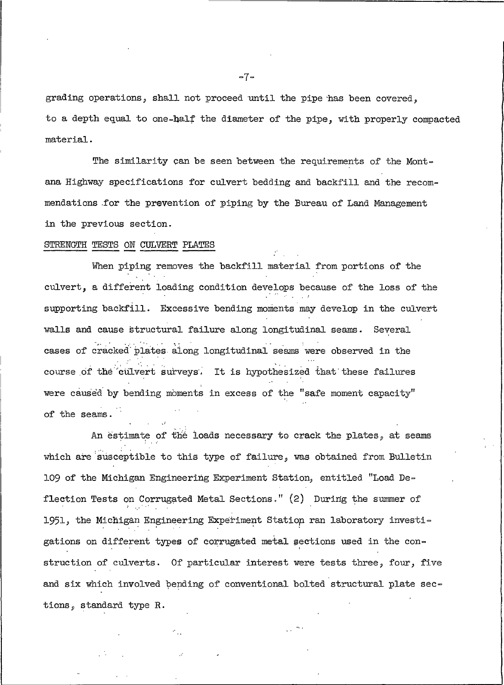grading operations, shall not proceed until the pipe has been covered. to a depth equal to one-half the diameter of the pipe, with properly compacted material.

The similarity can be seen between the requirements of the Montana Highway specifications for culvert bedding and backfill and the recommendations for the prevention of piping by the Bureau of Land Management in the previous section.

## STRENGTH TESTS ON CULVERT PLATES

When piping removes the backfill material from portions of the culvert, a different loading condition develops because of the loss of the supporting backfill. Excessive bending moments may develop in the culvert walls and cause structural failure along longitudinal seams. Several cases of cracked plates along longitudinal seams were observed in the course of the culvert surveys. It is hypothesized that these failures were caused by bending moments in excess of the "safe moment capacity" of the seams.

An estimate of the loads necessary to crack the plates, at seams which are susceptible to this type of failure, was obtained from Bulletin 109 of the Michigan Engineering Experiment Station, entitled "Load Deflection Tests on Corrugated Metal Sections." (2) During the summer of 1951, the Michigan Engineering Experiment Station ran laboratory investigations on different types of corrugated metal sections used in the construction of culverts. Of particular interest were tests three, four, five and six which involved bending of conventional bolted structural plate sections, standard type R.

 $-7-$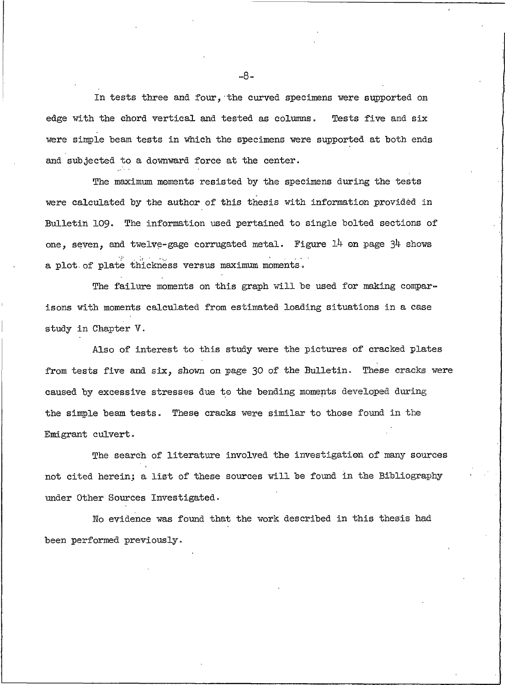In tests three and four, the curved specimens were supported on edge with the chord vertical and tested as columns. Tests five and six were simple beam tests in which the specimens were supported at both ends and subjected to a downward force at the center.

The maximum moments resisted by the specimens during the tests were calculated by the author of this thesis with information provided in Bulletin 109. The information used pertained to single bolted sections of one, seven, and twelve-gage corrugated metal. Figure 14 on page 34 shows a plot of plate thickness versus maximum moments.

The failure moments on this graph will be used for making comparisons with moments calculated from estimated loading situations in a case study in Chapter V.

Also of interest to this study were the pictures of cracked plates from tests five and six, shown on page 30 of the Bulletin. These cracks were caused by excessive stresses due to the bending moments developed during the simple beam tests. These cracks were similar to those found in the Emigrant culvert.

The search of literature involved the investigation of many sources not cited herein; a list of these sources will be found in the Bibliography under Other Sources Investigated.

No evidence was found that the work described in this thesis had been performed previously.

 $-8-$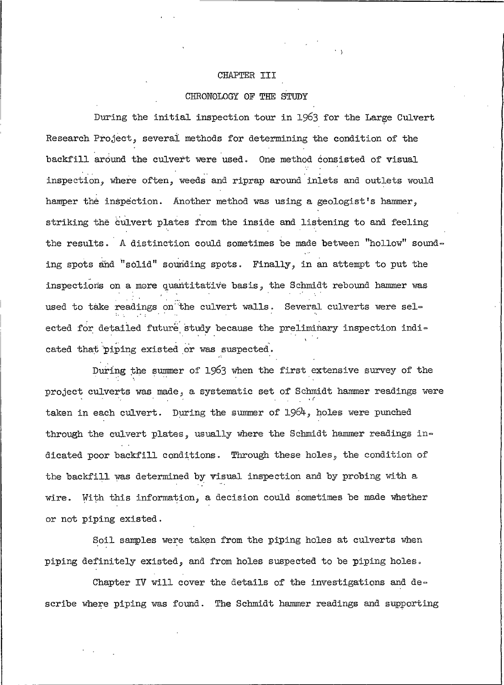## CHAPTER III

## CHRONOLOGY OF THE STUDY

During the initial inspection tour in 1963 for the Large Culvert Research Project, several methods for determining the condition of the backfill around the culvert were used. One method consisted of visual inspection, where often, weeds and riprap around inlets and outlets would hamper the inspection. Another method was using a geologist's hammer, striking the culvert plates from the inside and listening to and feeling the results. A distinction could sometimes be made between "hollow" sounding spots and "solid" sounding spots. Finally, in an attempt to put the inspections on a more quantitative basis, the Schmidt rebound hammer was used to take readings on the culvert walls. Several culverts were selected for detailed future study because the preliminary inspection indicated that piping existed or was suspected.

During the summer of 1963 when the first extensive survey of the project culverts was made, a systematic set of Schmidt hammer readings were taken in each culvert. During the summer of 1964, holes were punched through the culvert plates, usually where the Schmidt hammer readings indicated poor backfill conditions. Through these holes, the condition of the backfill was determined by visual inspection and by probing with a wire. With this information, a decision could sometimes be made whether or not piping existed.

Soil samples were taken from the piping holes at culverts when piping definitely existed, and from holes suspected to be piping holes.

Chapter IV will cover the details of the investigations and describe where piping was found. The Schmidt hammer readings and supporting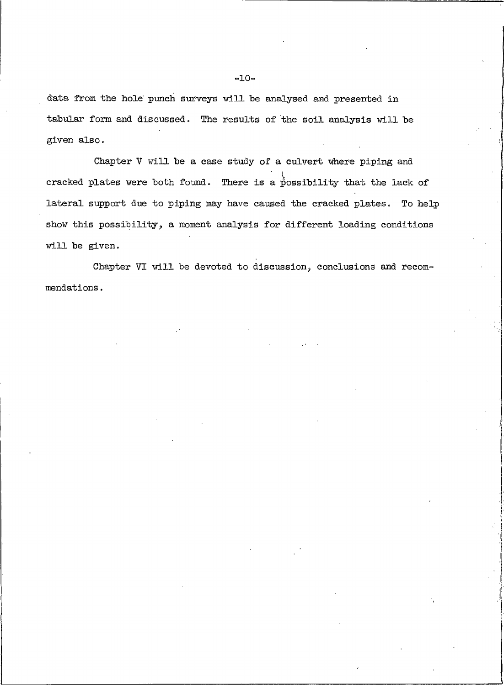data from the hole punch surveys will be analysed and presented in tabular form and discussed. The results of the soil analysis will be given also.

Chapter V will be a case study of a culvert where piping and cracked plates were both found. There is a possibility that the lack of lateral support due to piping may have caused the cracked plates. To help show this possibility, a moment analysis for different loading conditions will be given.

Chapter VI will be devoted to discussion, conclusions and recommendations.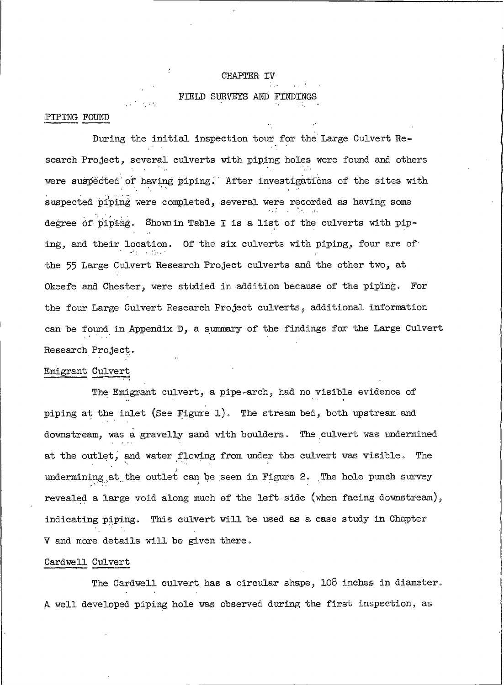#### CHAPTER IV

#### FIELD SURVEYS AND FINDINGS

## PIPING FOUND

During the initial inspection tour for the Large Culvert Research Project, several culverts with piping holes were found and others were suspected of having piping. After investigations of the sites with suspected piping were completed, several were recorded as having some degree of piping. Shownin Table I is a list of the culverts with piping, and their location. Of the six culverts with piping, four are of the 55 Large Culvert Research Project culverts and the other two, at Okeefe and Chester, were studied in addition because of the piping. For the four Large Culvert Research Project culverts, additional information can be found in Appendix D, a summary of the findings for the Large Culvert Research Project.

## Emigrant Culvert

The Emigrant culvert, a pipe-arch, had no visible evidence of piping at the inlet (See Figure 1). The stream bed, both upstream and downstream, was a gravelly sand with boulders. The culvert was undermined at the outlet, and water flowing from under the culvert was visible. The undermining at the outlet can be seen in Figure 2. The hole punch survey revealed a large void along much of the left side (when facing downstream), indicating piping. This culvert will be used as a case study in Chapter V and more details will be given there.

#### Cardwell Culvert

The Cardwell culvert has a circular shape, 108 inches in diameter. A well developed piping hole was observed during the first inspection, as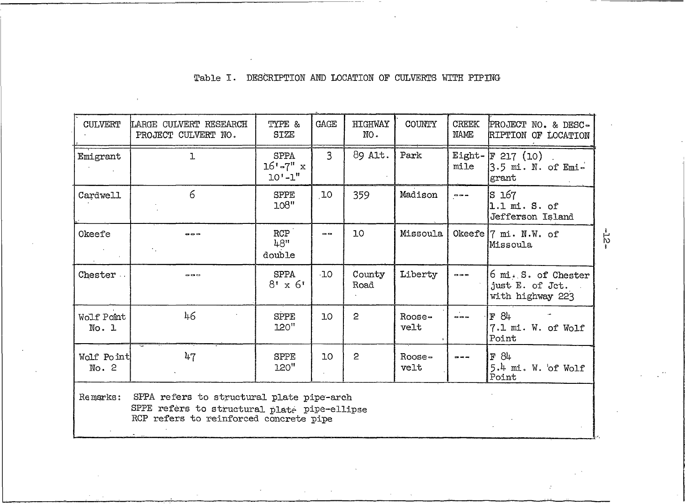| <b>CULVERT</b>                                                                                                                                  | LARGE CULVERT RESEARCH<br>PROJECT CULVERT NO. | TYPE &<br>SIZE                             | GAGE  | <b>HIGHWAY</b><br>NO <sub>o</sub> | COUNTY            | <b>CREEK</b><br>NAME                  | PROJECT NO. & DESC-<br>RIPTION OF LOCATION                 |
|-------------------------------------------------------------------------------------------------------------------------------------------------|-----------------------------------------------|--------------------------------------------|-------|-----------------------------------|-------------------|---------------------------------------|------------------------------------------------------------|
| Emigrant                                                                                                                                        | $\mathbf{I}$                                  | <b>SPPA</b><br>$16 - 7$ " x<br>$10' - 1''$ | 3     | 89 Alt.                           | Park              | Eight-<br>mile                        | F 217 (10)<br>$3.5$ mi. N. of Emi-<br>grant                |
| Cardwell                                                                                                                                        | 6                                             | <b>SPPE</b><br>108"                        | 10    | 359                               | Madison           | $- - -$                               | IS 167<br>$ 1.1 \text{ mi. S. of }$<br>Jefferson Island    |
| Okeefe                                                                                                                                          | 000<br>$\mathcal{F}_{\rm eff}$                | RCP<br>48"<br>double                       | $= 1$ | 10                                | Missoula          |                                       | Okeefe   7 mi. N.W. of<br>Missoula                         |
| Chester                                                                                                                                         | $\Rightarrow$ $\Rightarrow$ $\Rightarrow$     | <b>SPPA</b><br>$8' \times 6'$              | $-10$ | County<br>Road                    | Liberty           | $\Rightarrow \Rightarrow \Rightarrow$ | 6 mi. S. of Chester<br>just E. of Jct.<br>with highway 223 |
| Wolf Point<br>No. 1                                                                                                                             | 46                                            | <b>SPPE</b><br>120"                        | 10    | 2                                 | Roose-<br>velt    | 88                                    | F 84<br>7.1 mi. W. of Wolf<br>Point                        |
| Wolf Point<br>No. 2                                                                                                                             | 47                                            | <b>SPPE</b><br>120"                        | 10    | 2                                 | $Roose -$<br>velt | $= - -$                               | F84<br>5.4 mi. W. of Wolf<br>Point                         |
| Remarks:<br>SPPA refers to structural plate pipe-arch<br>SPPE refers to structural plate pipe-ellipse<br>RCP refers to reinforced concrete pipe |                                               |                                            |       |                                   |                   |                                       |                                                            |

Table I. DESCRIPTION AND LOCATION OF CULVERTS WITH PIPING

 $\sum_{n=1}^{\infty}$